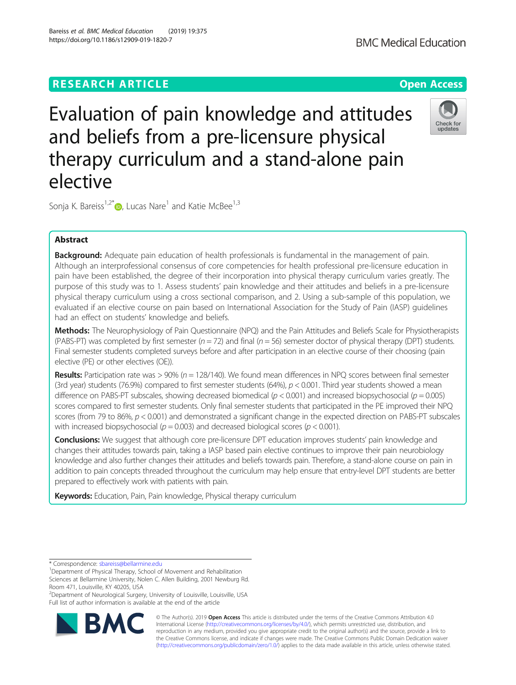# **RESEARCH ARTICLE Example 2014 12:30 The Open Access**

# Evaluation of pain knowledge and attitudes and beliefs from a pre-licensure physical therapy curriculum and a stand-alone pain elective

Sonja K. Bareiss<sup>1,2[\\*](http://orcid.org/0000-0001-6814-7533)</sup> $\bullet$ , Lucas Nare<sup>1</sup> and Katie McBee<sup>1,3</sup>

## Abstract

**Background:** Adequate pain education of health professionals is fundamental in the management of pain. Although an interprofessional consensus of core competencies for health professional pre-licensure education in pain have been established, the degree of their incorporation into physical therapy curriculum varies greatly. The purpose of this study was to 1. Assess students' pain knowledge and their attitudes and beliefs in a pre-licensure physical therapy curriculum using a cross sectional comparison, and 2. Using a sub-sample of this population, we evaluated if an elective course on pain based on International Association for the Study of Pain (IASP) guidelines had an effect on students' knowledge and beliefs.

Methods: The Neurophysiology of Pain Questionnaire (NPQ) and the Pain Attitudes and Beliefs Scale for Physiotherapists (PABS-PT) was completed by first semester ( $n = 72$ ) and final ( $n = 56$ ) semester doctor of physical therapy (DPT) students. Final semester students completed surveys before and after participation in an elective course of their choosing (pain elective (PE) or other electives (OE)).

**Results:** Participation rate was  $> 90\%$  ( $n = 128/140$ ). We found mean differences in NPQ scores between final semester (3rd year) students (76.9%) compared to first semester students (64%),  $p < 0.001$ . Third year students showed a mean difference on PABS-PT subscales, showing decreased biomedical ( $p < 0.001$ ) and increased biopsychosocial ( $p = 0.005$ ) scores compared to first semester students. Only final semester students that participated in the PE improved their NPQ scores (from 79 to 86%,  $p < 0.001$ ) and demonstrated a significant change in the expected direction on PABS-PT subscales with increased biopsychosocial ( $p = 0.003$ ) and decreased biological scores ( $p < 0.001$ ).

Conclusions: We suggest that although core pre-licensure DPT education improves students' pain knowledge and changes their attitudes towards pain, taking a IASP based pain elective continues to improve their pain neurobiology knowledge and also further changes their attitudes and beliefs towards pain. Therefore, a stand-alone course on pain in addition to pain concepts threaded throughout the curriculum may help ensure that entry-level DPT students are better prepared to effectively work with patients with pain.

Keywords: Education, Pain, Pain knowledge, Physical therapy curriculum

**BM** 

<sup>2</sup>Department of Neurological Surgery, University of Louisville, Louisville, USA Full list of author information is available at the end of the article









<sup>\*</sup> Correspondence: [sbareiss@bellarmine.edu](mailto:sbareiss@bellarmine.edu) <sup>1</sup>

<sup>&</sup>lt;sup>1</sup>Department of Physical Therapy, School of Movement and Rehabilitation Sciences at Bellarmine University, Nolen C. Allen Building, 2001 Newburg Rd. Room 471, Louisville, KY 40205, USA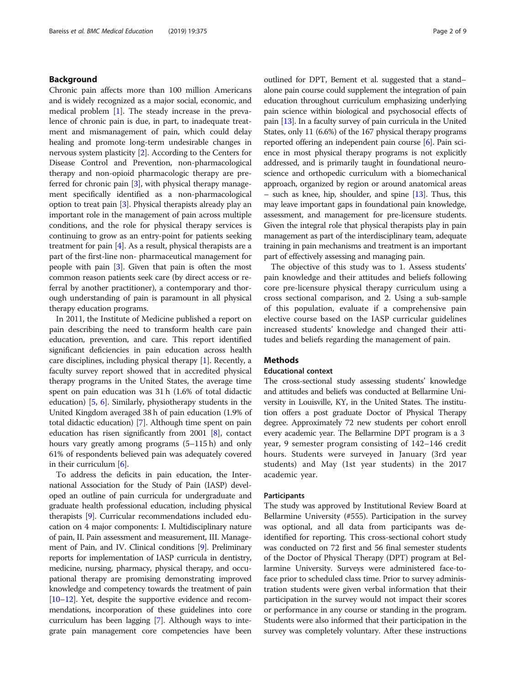## Background

Chronic pain affects more than 100 million Americans and is widely recognized as a major social, economic, and medical problem [[1\]](#page-7-0). The steady increase in the prevalence of chronic pain is due, in part, to inadequate treatment and mismanagement of pain, which could delay healing and promote long-term undesirable changes in nervous system plasticity [\[2\]](#page-7-0). According to the Centers for Disease Control and Prevention, non-pharmacological therapy and non-opioid pharmacologic therapy are preferred for chronic pain [\[3](#page-7-0)], with physical therapy management specifically identified as a non-pharmacological option to treat pain [\[3\]](#page-7-0). Physical therapists already play an important role in the management of pain across multiple conditions, and the role for physical therapy services is continuing to grow as an entry-point for patients seeking treatment for pain  $[4]$  $[4]$  $[4]$ . As a result, physical therapists are a part of the first-line non- pharmaceutical management for people with pain [\[3\]](#page-7-0). Given that pain is often the most common reason patients seek care (by direct access or referral by another practitioner), a contemporary and thorough understanding of pain is paramount in all physical therapy education programs.

In 2011, the Institute of Medicine published a report on pain describing the need to transform health care pain education, prevention, and care. This report identified significant deficiencies in pain education across health care disciplines, including physical therapy [\[1\]](#page-7-0). Recently, a faculty survey report showed that in accredited physical therapy programs in the United States, the average time spent on pain education was 31 h (1.6% of total didactic education) [[5](#page-7-0), [6\]](#page-7-0). Similarly, physiotherapy students in the United Kingdom averaged 38 h of pain education (1.9% of total didactic education) [\[7](#page-7-0)]. Although time spent on pain education has risen significantly from 2001 [\[8](#page-7-0)], contact hours vary greatly among programs (5–115 h) and only 61% of respondents believed pain was adequately covered in their curriculum [[6](#page-7-0)].

To address the deficits in pain education, the International Association for the Study of Pain (IASP) developed an outline of pain curricula for undergraduate and graduate health professional education, including physical therapists [[9](#page-7-0)]. Curricular recommendations included education on 4 major components: I. Multidisciplinary nature of pain, II. Pain assessment and measurement, III. Management of Pain, and IV. Clinical conditions [\[9\]](#page-7-0). Preliminary reports for implementation of IASP curricula in dentistry, medicine, nursing, pharmacy, physical therapy, and occupational therapy are promising demonstrating improved knowledge and competency towards the treatment of pain [[10](#page-7-0)–[12\]](#page-7-0). Yet, despite the supportive evidence and recommendations, incorporation of these guidelines into core curriculum has been lagging [[7\]](#page-7-0). Although ways to integrate pain management core competencies have been outlined for DPT, Bement et al. suggested that a stand– alone pain course could supplement the integration of pain education throughout curriculum emphasizing underlying pain science within biological and psychosocial effects of pain [\[13\]](#page-7-0). In a faculty survey of pain curricula in the United States, only 11 (6.6%) of the 167 physical therapy programs reported offering an independent pain course [[6](#page-7-0)]. Pain science in most physical therapy programs is not explicitly addressed, and is primarily taught in foundational neuroscience and orthopedic curriculum with a biomechanical approach, organized by region or around anatomical areas – such as knee, hip, shoulder, and spine  $[13]$ . Thus, this may leave important gaps in foundational pain knowledge, assessment, and management for pre-licensure students. Given the integral role that physical therapists play in pain management as part of the interdisciplinary team, adequate training in pain mechanisms and treatment is an important part of effectively assessing and managing pain.

The objective of this study was to 1. Assess students' pain knowledge and their attitudes and beliefs following core pre-licensure physical therapy curriculum using a cross sectional comparison, and 2. Using a sub-sample of this population, evaluate if a comprehensive pain elective course based on the IASP curricular guidelines increased students' knowledge and changed their attitudes and beliefs regarding the management of pain.

## Methods

## Educational context

The cross-sectional study assessing students' knowledge and attitudes and beliefs was conducted at Bellarmine University in Louisville, KY, in the United States. The institution offers a post graduate Doctor of Physical Therapy degree. Approximately 72 new students per cohort enroll every academic year. The Bellarmine DPT program is a 3 year, 9 semester program consisting of 142–146 credit hours. Students were surveyed in January (3rd year students) and May (1st year students) in the 2017 academic year.

### Participants

The study was approved by Institutional Review Board at Bellarmine University (#555). Participation in the survey was optional, and all data from participants was deidentified for reporting. This cross-sectional cohort study was conducted on 72 first and 56 final semester students of the Doctor of Physical Therapy (DPT) program at Bellarmine University. Surveys were administered face-toface prior to scheduled class time. Prior to survey administration students were given verbal information that their participation in the survey would not impact their scores or performance in any course or standing in the program. Students were also informed that their participation in the survey was completely voluntary. After these instructions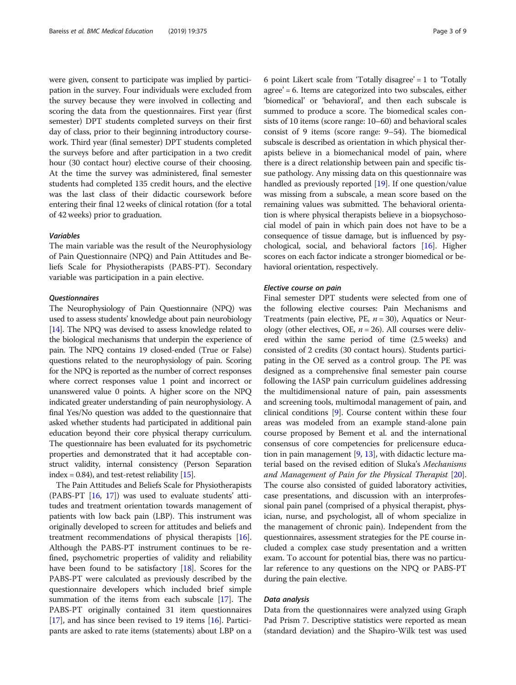were given, consent to participate was implied by participation in the survey. Four individuals were excluded from the survey because they were involved in collecting and scoring the data from the questionnaires. First year (first semester) DPT students completed surveys on their first day of class, prior to their beginning introductory coursework. Third year (final semester) DPT students completed the surveys before and after participation in a two credit hour (30 contact hour) elective course of their choosing. At the time the survey was administered, final semester students had completed 135 credit hours, and the elective was the last class of their didactic coursework before entering their final 12 weeks of clinical rotation (for a total of 42 weeks) prior to graduation.

### Variables

The main variable was the result of the Neurophysiology of Pain Questionnaire (NPQ) and Pain Attitudes and Beliefs Scale for Physiotherapists (PABS-PT). Secondary variable was participation in a pain elective.

## **Questionnaires**

The Neurophysiology of Pain Questionnaire (NPQ) was used to assess students' knowledge about pain neurobiology [[14](#page-7-0)]. The NPQ was devised to assess knowledge related to the biological mechanisms that underpin the experience of pain. The NPQ contains 19 closed-ended (True or False) questions related to the neurophysiology of pain. Scoring for the NPQ is reported as the number of correct responses where correct responses value 1 point and incorrect or unanswered value 0 points. A higher score on the NPQ indicated greater understanding of pain neurophysiology. A final Yes/No question was added to the questionnaire that asked whether students had participated in additional pain education beyond their core physical therapy curriculum. The questionnaire has been evaluated for its psychometric properties and demonstrated that it had acceptable construct validity, internal consistency (Person Separation index = 0.84), and test-retest reliability  $[15]$ .

The Pain Attitudes and Beliefs Scale for Physiotherapists (PABS-PT [[16](#page-7-0), [17\]](#page-7-0)) was used to evaluate students' attitudes and treatment orientation towards management of patients with low back pain (LBP). This instrument was originally developed to screen for attitudes and beliefs and treatment recommendations of physical therapists [[16](#page-7-0)]. Although the PABS-PT instrument continues to be refined, psychometric properties of validity and reliability have been found to be satisfactory [\[18](#page-7-0)]. Scores for the PABS-PT were calculated as previously described by the questionnaire developers which included brief simple summation of the items from each subscale [\[17](#page-7-0)]. The PABS-PT originally contained 31 item questionnaires [[17](#page-7-0)], and has since been revised to 19 items [\[16\]](#page-7-0). Participants are asked to rate items (statements) about LBP on a 6 point Likert scale from 'Totally disagree' = 1 to 'Totally agree' = 6. Items are categorized into two subscales, either 'biomedical' or 'behavioral', and then each subscale is summed to produce a score. The biomedical scales consists of 10 items (score range: 10–60) and behavioral scales consist of 9 items (score range: 9–54). The biomedical subscale is described as orientation in which physical therapists believe in a biomechanical model of pain, where there is a direct relationship between pain and specific tissue pathology. Any missing data on this questionnaire was handled as previously reported [\[19\]](#page-8-0). If one question/value was missing from a subscale, a mean score based on the remaining values was submitted. The behavioral orientation is where physical therapists believe in a biopsychosocial model of pain in which pain does not have to be a consequence of tissue damage, but is influenced by psychological, social, and behavioral factors [[16](#page-7-0)]. Higher scores on each factor indicate a stronger biomedical or behavioral orientation, respectively.

## Elective course on pain

Final semester DPT students were selected from one of the following elective courses: Pain Mechanisms and Treatments (pain elective, PE,  $n = 30$ ), Aquatics or Neurology (other electives, OE,  $n = 26$ ). All courses were delivered within the same period of time (2.5 weeks) and consisted of 2 credits (30 contact hours). Students participating in the OE served as a control group. The PE was designed as a comprehensive final semester pain course following the IASP pain curriculum guidelines addressing the multidimensional nature of pain, pain assessments and screening tools, multimodal management of pain, and clinical conditions [\[9\]](#page-7-0). Course content within these four areas was modeled from an example stand-alone pain course proposed by Bement et al. and the international consensus of core competencies for prelicensure education in pain management  $[9, 13]$  $[9, 13]$  $[9, 13]$ , with didactic lecture material based on the revised edition of Sluka's Mechanisms and Management of Pain for the Physical Therapist [[20](#page-8-0)]. The course also consisted of guided laboratory activities, case presentations, and discussion with an interprofessional pain panel (comprised of a physical therapist, physician, nurse, and psychologist, all of whom specialize in the management of chronic pain). Independent from the questionnaires, assessment strategies for the PE course included a complex case study presentation and a written exam. To account for potential bias, there was no particular reference to any questions on the NPQ or PABS-PT during the pain elective.

## Data analysis

Data from the questionnaires were analyzed using Graph Pad Prism 7. Descriptive statistics were reported as mean (standard deviation) and the Shapiro-Wilk test was used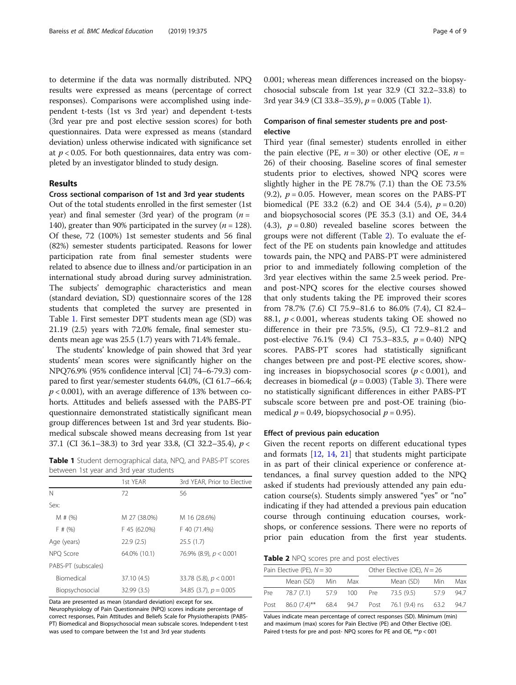to determine if the data was normally distributed. NPQ results were expressed as means (percentage of correct responses). Comparisons were accomplished using independent t-tests (1st vs 3rd year) and dependent t-tests (3rd year pre and post elective session scores) for both questionnaires. Data were expressed as means (standard deviation) unless otherwise indicated with significance set at  $p < 0.05$ . For both questionnaires, data entry was completed by an investigator blinded to study design.

## Results

## Cross sectional comparison of 1st and 3rd year students

Out of the total students enrolled in the first semester (1st year) and final semester (3rd year) of the program  $(n =$ 140), greater than 90% participated in the survey ( $n = 128$ ). Of these, 72 (100%) 1st semester students and 56 final (82%) semester students participated. Reasons for lower participation rate from final semester students were related to absence due to illness and/or participation in an international study abroad during survey administration. The subjects' demographic characteristics and mean (standard deviation, SD) questionnaire scores of the 128 students that completed the survey are presented in Table 1. First semester DPT students mean age (SD) was 21.19 (2.5) years with 72.0% female, final semester students mean age was 25.5 (1.7) years with 71.4% female..

The students' knowledge of pain showed that 3rd year students' mean scores were significantly higher on the NPQ76.9% (95% confidence interval [CI] 74–6-79.3) compared to first year/semester students 64.0%, (CI 61.7–66.4;  $p < 0.001$ ), with an average difference of 13% between cohorts. Attitudes and beliefs assessed with the PABS-PT questionnaire demonstrated statistically significant mean group differences between 1st and 3rd year students. Biomedical subscale showed means decreasing from 1st year 37.1 (CI 36.1–38.3) to 3rd year 33.8, (CI 32.2–35.4), p <

Table 1 Student demographical data, NPQ, and PABS-PT scores between 1st year and 3rd year students

|                     | 1st YEAR     | 3rd YEAR, Prior to Elective |
|---------------------|--------------|-----------------------------|
| N                   | 72           | 56                          |
| Sex:                |              |                             |
| M # (%)             | M 27 (38.0%) | M 16 (28.6%)                |
| F# (%)              | F 45 (62.0%) | F 40 (71.4%)                |
| Age (years)         | 22.9(2.5)    | 25.5(1.7)                   |
| NPO Score           | 64.0% (10.1) | 76.9% (8.9), $p < 0.001$    |
| PABS-PT (subscales) |              |                             |
| <b>Biomedical</b>   | 37.10 (4.5)  | 33.78 (5.8), $p < 0.001$    |
| Biopsychosocial     | 32.99 (3.5)  | 34.85 (3.7), $p = 0.005$    |

Data are presented as mean (standard deviation) except for sex. Neurophysiology of Pain Questionnaire (NPQ) scores indicate percentage of correct responses, Pain Attitudes and Beliefs Scale for Physiotherapists (PABS-PT) Biomedical and Biopsychosocial mean subscale scores. Independent t-test was used to compare between the 1st and 3rd year students

0.001; whereas mean differences increased on the biopsychosocial subscale from 1st year 32.9 (CI 32.2–33.8) to 3rd year 34.9 (CI 33.8–35.9),  $p = 0.005$  (Table 1).

## Comparison of final semester students pre and postelective

Third year (final semester) students enrolled in either the pain elective (PE,  $n = 30$ ) or other elective (OE,  $n =$ 26) of their choosing. Baseline scores of final semester students prior to electives, showed NPQ scores were slightly higher in the PE 78.7% (7.1) than the OE 73.5% (9.2),  $p = 0.05$ . However, mean scores on the PABS-PT biomedical (PE 33.2  $(6.2)$  and OE 34.4  $(5.4)$ ,  $p = 0.20$ ) and biopsychosocial scores (PE 35.3 (3.1) and OE, 34.4 (4.3),  $p = 0.80$ ) revealed baseline scores between the groups were not different (Table 2). To evaluate the effect of the PE on students pain knowledge and attitudes towards pain, the NPQ and PABS-PT were administered prior to and immediately following completion of the 3rd year electives within the same 2.5 week period. Preand post-NPQ scores for the elective courses showed that only students taking the PE improved their scores from 78.7% (7.6) CI 75.9–81.6 to 86.0% (7.4), CI 82.4– 88.1,  $p < 0.001$ , whereas students taking OE showed no difference in their pre 73.5%, (9.5), CI 72.9–81.2 and post-elective 76.1% (9.4) CI 75.3–83.5,  $p = 0.40$ ) NPQ scores. PABS-PT scores had statistically significant changes between pre and post-PE elective scores, showing increases in biopsychosocial scores  $(p < 0.001)$ , and decreases in biomedical ( $p = 0.003$ ) (Table [3\)](#page-4-0). There were no statistically significant differences in either PABS-PT subscale score between pre and post-OE training (biomedical  $p = 0.49$ , biopsychosocial  $p = 0.95$ ).

## Effect of previous pain education

Given the recent reports on different educational types and formats [[12](#page-7-0), [14](#page-7-0), [21\]](#page-8-0) that students might participate in as part of their clinical experience or conference attendances, a final survey question added to the NPQ asked if students had previously attended any pain education course(s). Students simply answered "yes" or "no" indicating if they had attended a previous pain education course through continuing education courses, workshops, or conference sessions. There were no reports of prior pain education from the first year students.

**Table 2** NPQ scores pre and post electives

| Pain Elective (PE), $N = 30$ |               |  | Other Elective (OE), $N = 26$ |  |                                                     |     |      |
|------------------------------|---------------|--|-------------------------------|--|-----------------------------------------------------|-----|------|
|                              | Mean (SD) Min |  | Max                           |  | Mean (SD) Min                                       |     | Max  |
| Pre                          | 78.7 (7.1)    |  |                               |  | 57.9 100 Pre 73.5 (9.5)                             | 579 | 94.7 |
| Post                         |               |  |                               |  | 86.0 (7.4)** 68.4 94.7 Post 76.1 (9.4) ns 63.2 94.7 |     |      |

Values indicate mean percentage of correct responses (SD). Minimum (min) and maximum (max) scores for Pain Elective (PE) and Other Elective (OE). Paired t-tests for pre and post- NPQ scores for PE and OE, \*\*p < 001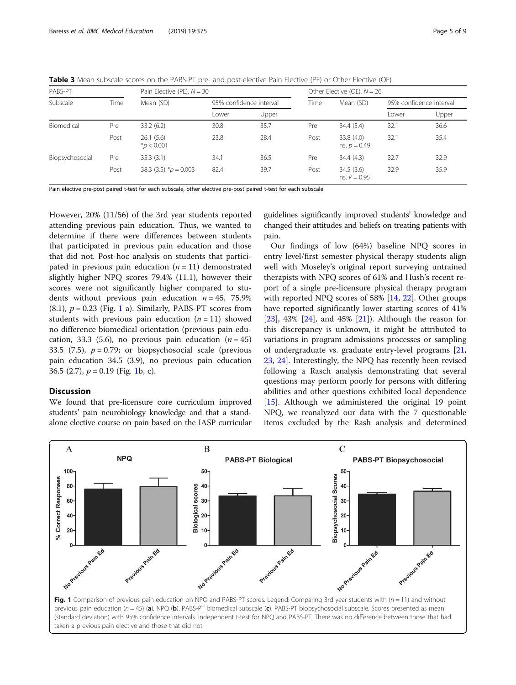<span id="page-4-0"></span>Table 3 Mean subscale scores on the PABS-PT pre- and post-elective Pain Elective (PE) or Other Elective (OE)

| PABS-PT         |      | Pain Elective (PE), $N = 30$ |                         |       | Other Elective (OE), $N = 26$ |                              |                         |       |
|-----------------|------|------------------------------|-------------------------|-------|-------------------------------|------------------------------|-------------------------|-------|
| Subscale        | Time | Mean (SD)                    | 95% confidence interval |       | Time                          | Mean (SD)                    | 95% confidence interval |       |
|                 |      |                              | Lower                   | Upper |                               |                              | Lower                   | Upper |
| Biomedical      | Pre  | 33.2(6.2)                    | 30.8                    | 35.7  | Pre                           | 34.4(5.4)                    | 32.1                    | 36.6  |
|                 | Post | 26.1(5.6)<br>$*_{p}$ < 0.001 | 23.8                    | 28.4  | Post                          | 33.8 (4.0)<br>ns, $p = 0.49$ | 32.1                    | 35.4  |
| Biopsychosocial | Pre  | 35.3(3.1)                    | 34.1                    | 36.5  | Pre                           | 34.4(4.3)                    | 32.7                    | 32.9  |
|                 | Post | 38.3 (3.5) $p = 0.003$       | 82.4                    | 39.7  | Post                          | 34.5(3.6)<br>ns, $P = 0.95$  | 32.9                    | 35.9  |

Pain elective pre-post paired t-test for each subscale, other elective pre-post paired t-test for each subscale

However, 20% (11/56) of the 3rd year students reported attending previous pain education. Thus, we wanted to determine if there were differences between students that participated in previous pain education and those that did not. Post-hoc analysis on students that participated in previous pain education  $(n = 11)$  demonstrated slightly higher NPQ scores 79.4% (11.1), however their scores were not significantly higher compared to students without previous pain education  $n = 45$ , 75.9%  $(8.1)$ ,  $p = 0.23$  (Fig. 1 a). Similarly, PABS-PT scores from students with previous pain education  $(n = 11)$  showed no difference biomedical orientation (previous pain education, 33.3 (5.6), no previous pain education  $(n = 45)$ 33.5 (7.5),  $p = 0.79$ ; or biopsychosocial scale (previous pain education 34.5 (3.9), no previous pain education 36.5 (2.7),  $p = 0.19$  (Fig. 1b, c).

## Discussion

We found that pre-licensure core curriculum improved students' pain neurobiology knowledge and that a standalone elective course on pain based on the IASP curricular

guidelines significantly improved students' knowledge and changed their attitudes and beliefs on treating patients with pain.

Our findings of low (64%) baseline NPQ scores in entry level/first semester physical therapy students align well with Moseley's original report surveying untrained therapists with NPQ scores of 61% and Hush's recent report of a single pre-licensure physical therapy program with reported NPQ scores of 58% [[14,](#page-7-0) [22\]](#page-8-0). Other groups have reported significantly lower starting scores of 41% [[23\]](#page-8-0), 43% [\[24](#page-8-0)], and 45% [[21\]](#page-8-0)). Although the reason for this discrepancy is unknown, it might be attributed to variations in program admissions processes or sampling of undergraduate vs. graduate entry-level programs [[21](#page-8-0), [23,](#page-8-0) [24\]](#page-8-0). Interestingly, the NPQ has recently been revised following a Rasch analysis demonstrating that several questions may perform poorly for persons with differing abilities and other questions exhibited local dependence [[15\]](#page-7-0). Although we administered the original 19 point NPQ, we reanalyzed our data with the 7 questionable items excluded by the Rash analysis and determined

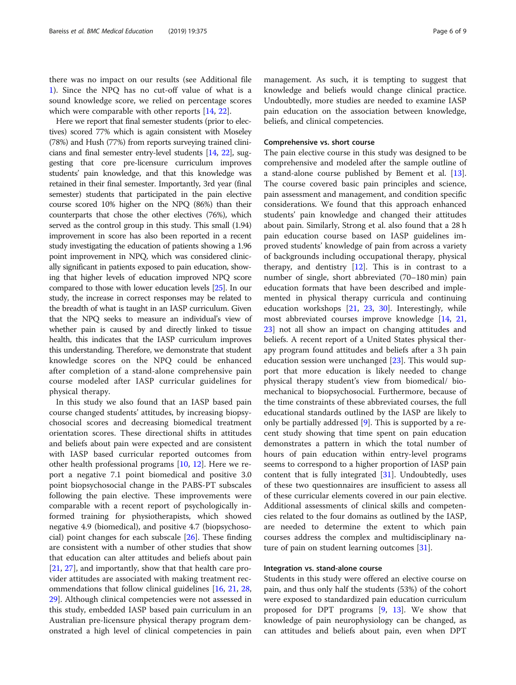there was no impact on our results (see Additional file [1\)](#page-7-0). Since the NPQ has no cut-off value of what is a sound knowledge score, we relied on percentage scores which were comparable with other reports [\[14](#page-7-0), [22](#page-8-0)].

Here we report that final semester students (prior to electives) scored 77% which is again consistent with Moseley (78%) and Hush (77%) from reports surveying trained clinicians and final semester entry-level students [[14](#page-7-0), [22](#page-8-0)], suggesting that core pre-licensure curriculum improves students' pain knowledge, and that this knowledge was retained in their final semester. Importantly, 3rd year (final semester) students that participated in the pain elective course scored 10% higher on the NPQ (86%) than their counterparts that chose the other electives (76%), which served as the control group in this study. This small (1.94) improvement in score has also been reported in a recent study investigating the education of patients showing a 1.96 point improvement in NPQ, which was considered clinically significant in patients exposed to pain education, showing that higher levels of education improved NPQ score compared to those with lower education levels [[25](#page-8-0)]. In our study, the increase in correct responses may be related to the breadth of what is taught in an IASP curriculum. Given that the NPQ seeks to measure an individual's view of whether pain is caused by and directly linked to tissue health, this indicates that the IASP curriculum improves this understanding. Therefore, we demonstrate that student knowledge scores on the NPQ could be enhanced after completion of a stand-alone comprehensive pain course modeled after IASP curricular guidelines for physical therapy.

In this study we also found that an IASP based pain course changed students' attitudes, by increasing biopsychosocial scores and decreasing biomedical treatment orientation scores. These directional shifts in attitudes and beliefs about pain were expected and are consistent with IASP based curricular reported outcomes from other health professional programs [\[10](#page-7-0), [12](#page-7-0)]. Here we report a negative 7.1 point biomedical and positive 3.0 point biopsychosocial change in the PABS-PT subscales following the pain elective. These improvements were comparable with a recent report of psychologically informed training for physiotherapists, which showed negative 4.9 (biomedical), and positive 4.7 (biopsychosocial) point changes for each subscale [\[26](#page-8-0)]. These finding are consistent with a number of other studies that show that education can alter attitudes and beliefs about pain [[21,](#page-8-0) [27\]](#page-8-0), and importantly, show that that health care provider attitudes are associated with making treatment recommendations that follow clinical guidelines [\[16,](#page-7-0) [21](#page-8-0), [28](#page-8-0), [29\]](#page-8-0). Although clinical competencies were not assessed in this study, embedded IASP based pain curriculum in an Australian pre-licensure physical therapy program demonstrated a high level of clinical competencies in pain management. As such, it is tempting to suggest that knowledge and beliefs would change clinical practice. Undoubtedly, more studies are needed to examine IASP pain education on the association between knowledge, beliefs, and clinical competencies.

## Comprehensive vs. short course

The pain elective course in this study was designed to be comprehensive and modeled after the sample outline of a stand-alone course published by Bement et al. [\[13](#page-7-0)]. The course covered basic pain principles and science, pain assessment and management, and condition specific considerations. We found that this approach enhanced students' pain knowledge and changed their attitudes about pain. Similarly, Strong et al. also found that a 28 h pain education course based on IASP guidelines improved students' knowledge of pain from across a variety of backgrounds including occupational therapy, physical therapy, and dentistry  $[12]$  $[12]$ . This is in contrast to a number of single, short abbreviated (70–180 min) pain education formats that have been described and implemented in physical therapy curricula and continuing education workshops [[21](#page-8-0), [23,](#page-8-0) [30](#page-8-0)]. Interestingly, while most abbreviated courses improve knowledge [\[14](#page-7-0), [21](#page-8-0), [23\]](#page-8-0) not all show an impact on changing attitudes and beliefs. A recent report of a United States physical therapy program found attitudes and beliefs after a 3 h pain education session were unchanged [\[23\]](#page-8-0). This would support that more education is likely needed to change physical therapy student's view from biomedical/ biomechanical to biopsychosocial. Furthermore, because of the time constraints of these abbreviated courses, the full educational standards outlined by the IASP are likely to only be partially addressed [[9\]](#page-7-0). This is supported by a recent study showing that time spent on pain education demonstrates a pattern in which the total number of hours of pain education within entry-level programs seems to correspond to a higher proportion of IASP pain content that is fully integrated [\[31\]](#page-8-0). Undoubtedly, uses of these two questionnaires are insufficient to assess all of these curricular elements covered in our pain elective. Additional assessments of clinical skills and competencies related to the four domains as outlined by the IASP, are needed to determine the extent to which pain courses address the complex and multidisciplinary nature of pain on student learning outcomes [\[31](#page-8-0)].

## Integration vs. stand-alone course

Students in this study were offered an elective course on pain, and thus only half the students (53%) of the cohort were exposed to standardized pain education curriculum proposed for DPT programs [\[9](#page-7-0), [13](#page-7-0)]. We show that knowledge of pain neurophysiology can be changed, as can attitudes and beliefs about pain, even when DPT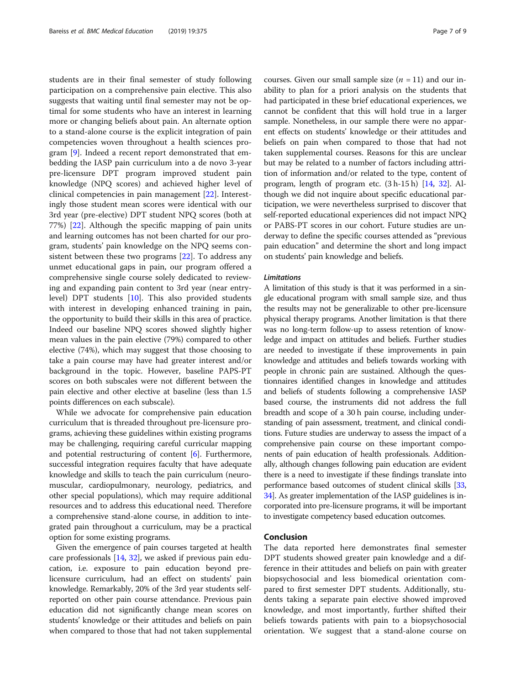students are in their final semester of study following participation on a comprehensive pain elective. This also suggests that waiting until final semester may not be optimal for some students who have an interest in learning more or changing beliefs about pain. An alternate option to a stand-alone course is the explicit integration of pain competencies woven throughout a health sciences program [\[9](#page-7-0)]. Indeed a recent report demonstrated that embedding the IASP pain curriculum into a de novo 3-year pre-licensure DPT program improved student pain knowledge (NPQ scores) and achieved higher level of clinical competencies in pain management [\[22](#page-8-0)]. Interestingly those student mean scores were identical with our 3rd year (pre-elective) DPT student NPQ scores (both at 77%) [[22\]](#page-8-0). Although the specific mapping of pain units and learning outcomes has not been charted for our program, students' pain knowledge on the NPQ seems consistent between these two programs [[22\]](#page-8-0). To address any unmet educational gaps in pain, our program offered a comprehensive single course solely dedicated to reviewing and expanding pain content to 3rd year (near entrylevel) DPT students [\[10](#page-7-0)]. This also provided students with interest in developing enhanced training in pain, the opportunity to build their skills in this area of practice. Indeed our baseline NPQ scores showed slightly higher mean values in the pain elective (79%) compared to other elective (74%), which may suggest that those choosing to take a pain course may have had greater interest and/or background in the topic. However, baseline PAPS-PT scores on both subscales were not different between the pain elective and other elective at baseline (less than 1.5 points differences on each subscale).

While we advocate for comprehensive pain education curriculum that is threaded throughout pre-licensure programs, achieving these guidelines within existing programs may be challenging, requiring careful curricular mapping and potential restructuring of content [[6\]](#page-7-0). Furthermore, successful integration requires faculty that have adequate knowledge and skills to teach the pain curriculum (neuromuscular, cardiopulmonary, neurology, pediatrics, and other special populations), which may require additional resources and to address this educational need. Therefore a comprehensive stand-alone course, in addition to integrated pain throughout a curriculum, may be a practical option for some existing programs.

Given the emergence of pain courses targeted at health care professionals [\[14,](#page-7-0) [32\]](#page-8-0), we asked if previous pain education, i.e. exposure to pain education beyond prelicensure curriculum, had an effect on students' pain knowledge. Remarkably, 20% of the 3rd year students selfreported on other pain course attendance. Previous pain education did not significantly change mean scores on students' knowledge or their attitudes and beliefs on pain when compared to those that had not taken supplemental courses. Given our small sample size  $(n = 11)$  and our inability to plan for a priori analysis on the students that had participated in these brief educational experiences, we cannot be confident that this will hold true in a larger sample. Nonetheless, in our sample there were no apparent effects on students' knowledge or their attitudes and beliefs on pain when compared to those that had not taken supplemental courses. Reasons for this are unclear but may be related to a number of factors including attrition of information and/or related to the type, content of program, length of program etc. (3 h-15 h) [\[14,](#page-7-0) [32](#page-8-0)]. Although we did not inquire about specific educational participation, we were nevertheless surprised to discover that self-reported educational experiences did not impact NPQ or PABS-PT scores in our cohort. Future studies are underway to define the specific courses attended as "previous pain education" and determine the short and long impact on students' pain knowledge and beliefs.

## **Limitations**

A limitation of this study is that it was performed in a single educational program with small sample size, and thus the results may not be generalizable to other pre-licensure physical therapy programs. Another limitation is that there was no long-term follow-up to assess retention of knowledge and impact on attitudes and beliefs. Further studies are needed to investigate if these improvements in pain knowledge and attitudes and beliefs towards working with people in chronic pain are sustained. Although the questionnaires identified changes in knowledge and attitudes and beliefs of students following a comprehensive IASP based course, the instruments did not address the full breadth and scope of a 30 h pain course, including understanding of pain assessment, treatment, and clinical conditions. Future studies are underway to assess the impact of a comprehensive pain course on these important components of pain education of health professionals. Additionally, although changes following pain education are evident there is a need to investigate if these findings translate into performance based outcomes of student clinical skills [\[33](#page-8-0), [34](#page-8-0)]. As greater implementation of the IASP guidelines is incorporated into pre-licensure programs, it will be important to investigate competency based education outcomes.

## Conclusion

The data reported here demonstrates final semester DPT students showed greater pain knowledge and a difference in their attitudes and beliefs on pain with greater biopsychosocial and less biomedical orientation compared to first semester DPT students. Additionally, students taking a separate pain elective showed improved knowledge, and most importantly, further shifted their beliefs towards patients with pain to a biopsychosocial orientation. We suggest that a stand-alone course on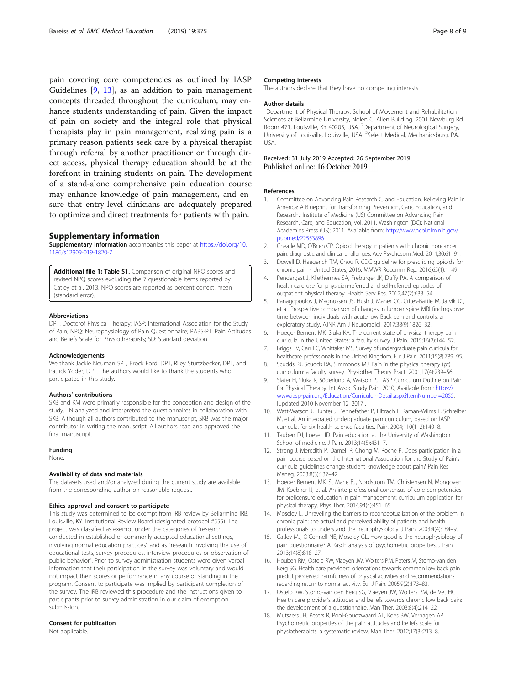<span id="page-7-0"></span>pain covering core competencies as outlined by IASP Guidelines [9, 13], as an addition to pain management concepts threaded throughout the curriculum, may enhance students understanding of pain. Given the impact of pain on society and the integral role that physical therapists play in pain management, realizing pain is a primary reason patients seek care by a physical therapist through referral by another practitioner or through direct access, physical therapy education should be at the forefront in training students on pain. The development of a stand-alone comprehensive pain education course may enhance knowledge of pain management, and ensure that entry-level clinicians are adequately prepared to optimize and direct treatments for patients with pain.

## Supplementary information

Supplementary information accompanies this paper at [https://doi.org/10.](https://doi.org/10.1186/s12909-019-1820-7) [1186/s12909-019-1820-7.](https://doi.org/10.1186/s12909-019-1820-7)

Additional file 1: Table S1. Comparison of original NPQ scores and revised NPQ scores excluding the 7 questionable items reported by Catley et al. 2013. NPQ scores are reported as percent correct, mean (standard error).

#### Abbreviations

DPT: Doctorof Physical Therapy; IASP: International Association for the Study of Pain; NPQ: Neurophysiology of Pain Questionnaire; PABS-PT: Pain Attitudes and Beliefs Scale for Physiotherapists; SD: Standard deviation

#### Acknowledgements

We thank Jackie Neuman SPT, Brock Ford, DPT, Riley Sturtzbecker, DPT, and Patrick Yoder, DPT. The authors would like to thank the students who participated in this study.

#### Authors' contributions

SKB and KM were primarily responsible for the conception and design of the study. LN analyzed and interpreted the questionnaires in collaboration with SKB. Although all authors contributed to the manuscript, SKB was the major contributor in writing the manuscript. All authors read and approved the final manuscript.

#### Funding

None.

## Availability of data and materials

The datasets used and/or analyzed during the current study are available from the corresponding author on reasonable request.

#### Ethics approval and consent to participate

This study was determined to be exempt from IRB review by Bellarmine IRB, Louisville, KY. Institutional Review Board (designated protocol #555). The project was classified as exempt under the categories of "research conducted in established or commonly accepted educational settings, involving normal education practices" and as "research involving the use of educational tests, survey procedures, interview procedures or observation of public behavior". Prior to survey administration students were given verbal information that their participation in the survey was voluntary and would not impact their scores or performance in any course or standing in the program. Consent to participate was implied by participant completion of the survey. The IRB reviewed this procedure and the instructions given to participants prior to survey administration in our claim of exemption submission.

## Consent for publication

Not applicable.

#### Competing interests

The authors declare that they have no competing interests.

#### Author details

<sup>1</sup>Department of Physical Therapy, School of Movement and Rehabilitation Sciences at Bellarmine University, Nolen C. Allen Building, 2001 Newburg Rd. Room 471, Louisville, KY 40205, USA. <sup>2</sup>Department of Neurological Surgery, University of Louisville, Louisville, USA. <sup>3</sup>Select Medical, Mechanicsburg, PA, USA.

#### Received: 31 July 2019 Accepted: 26 September 2019 Published online: 16 October 2019

#### References

- 1. Committee on Advancing Pain Research C, and Education. Relieving Pain in America: A Blueprint for Transforming Prevention, Care, Education, and Research.: Institute of Medicine (US) Committee on Advancing Pain Research, Care, and Education, vol. 2011. Washington (DC): National Academies Press (US); 2011. Available from: [http://www.ncbi.nlm.nih.gov/](http://www.ncbi.nlm.nih.gov/pubmed/22553896) [pubmed/22553896](http://www.ncbi.nlm.nih.gov/pubmed/22553896)
- 2. Cheatle MD, O'Brien CP. Opioid therapy in patients with chronic noncancer pain: diagnostic and clinical challenges. Adv Psychosom Med. 2011;30:61–91.
- 3. Dowell D, Haegerich TM, Chou R. CDC guideline for prescribing opioids for chronic pain - United States, 2016. MMWR Recomm Rep. 2016;65(1):1–49.
- 4. Pendergast J, Kliethermes SA, Freburger JK, Duffy PA. A comparison of health care use for physician-referred and self-referred episodes of outpatient physical therapy. Health Serv Res. 2012;47(2):633–54.
- 5. Panagopoulos J, Magnussen JS, Hush J, Maher CG, Crites-Battie M, Jarvik JG, et al. Prospective comparison of changes in lumbar spine MRI findings over time between individuals with acute low Back pain and controls: an exploratory study. AJNR Am J Neuroradiol. 2017;38(9):1826–32.
- 6. Hoeger Bement MK, Sluka KA. The current state of physical therapy pain curricula in the United States: a faculty survey. J Pain. 2015;16(2):144–52.
- 7. Briggs EV, Carr EC, Whittaker MS. Survey of undergraduate pain curricula for healthcare professionals in the United Kingdom. Eur J Pain. 2011;15(8):789–95.
- 8. Scudds RJ, Scudds RA, Simmonds MJ. Pain in the physical therapy (pt) curriculum: a faculty survey. Physiother Theory Pract. 2001;17(4):239–56.
- 9. Slater H, Sluka K, Söderlund A, Watson PJ. IASP Curriculum Outline on Pain for Physical Therapy. Int Assoc Study Pain. 2010; Available from: [https://](https://www.iasp-pain.org/Education/CurriculumDetail.aspx?ItemNumber=2055) [www.iasp-pain.org/Education/CurriculumDetail.aspx?ItemNumber=2055](https://www.iasp-pain.org/Education/CurriculumDetail.aspx?ItemNumber=2055). [updated 2010 November 12, 2017].
- 10. Watt-Watson J, Hunter J, Pennefather P, Librach L, Raman-Wilms L, Schreiber M, et al. An integrated undergraduate pain curriculum, based on IASP curricula, for six health science faculties. Pain. 2004;110(1–2):140–8.
- 11. Tauben DJ, Loeser JD. Pain education at the University of Washington School of medicine. J Pain. 2013;14(5):431–7.
- 12. Strong J, Meredith P, Darnell R, Chong M, Roche P. Does participation in a pain course based on the International Association for the Study of Pain's curricula guidelines change student knowledge about pain? Pain Res Manag. 2003;8(3):137–42.
- 13. Hoeger Bement MK, St Marie BJ, Nordstrom TM, Christensen N, Mongoven JM, Koebner IJ, et al. An interprofessional consensus of core competencies for prelicensure education in pain management: curriculum application for physical therapy. Phys Ther. 2014;94(4):451–65.
- 14. Moseley L. Unraveling the barriers to reconceptualization of the problem in chronic pain: the actual and perceived ability of patients and health professionals to understand the neurophysiology. J Pain. 2003;4(4):184–9.
- 15. Catley MJ, O'Connell NE, Moseley GL. How good is the neurophysiology of pain questionnaire? A Rasch analysis of psychometric properties. J Pain. 2013;14(8):818–27.
- 16. Houben RM, Ostelo RW, Vlaeyen JW, Wolters PM, Peters M, Stomp-van den Berg SG. Health care providers' orientations towards common low back pain predict perceived harmfulness of physical activities and recommendations regarding return to normal activity. Eur J Pain. 2005;9(2):173–83.
- 17. Ostelo RW, Stomp-van den Berg SG, Vlaeyen JW, Wolters PM, de Vet HC. Health care provider's attitudes and beliefs towards chronic low back pain: the development of a questionnaire. Man Ther. 2003;8(4):214–22.
- 18. Mutsaers JH, Peters R, Pool-Goudzwaard AL, Koes BW, Verhagen AP. Psychometric properties of the pain attitudes and beliefs scale for physiotherapists: a systematic review. Man Ther. 2012;17(3):213–8.